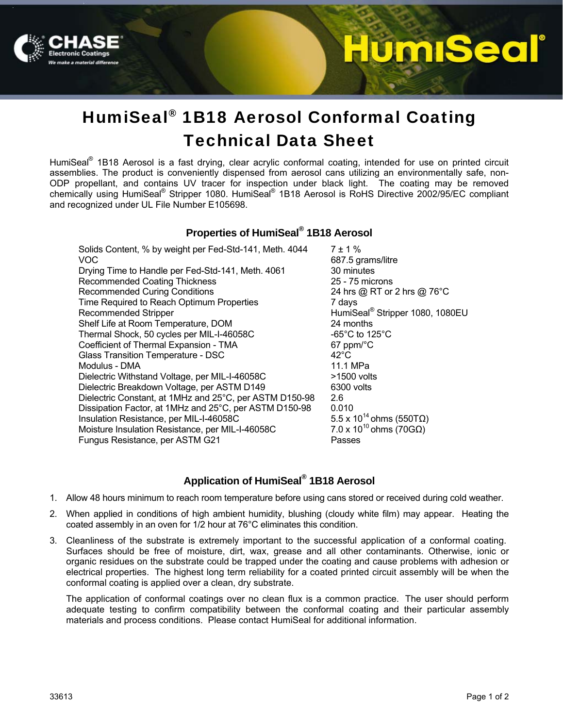

# <u>umiSeal</u>

# HumiSeal® 1B18 Aerosol Conformal Coating Technical Data Sheet

HumiSeal<sup>®</sup> 1B18 Aerosol is a fast drying, clear acrylic conformal coating, intended for use on printed circuit assemblies. The product is conveniently dispensed from aerosol cans utilizing an environmentally safe, non-ODP propellant, and contains UV tracer for inspection under black light. The coating may be removed chemically using HumiSeal® Stripper 1080. HumiSeal® 1B18 Aerosol is RoHS Directive 2002/95/EC compliant and recognized under UL File Number E105698.

## **Properties of HumiSeal® 1B18 Aerosol**

Solids Content, % by weight per Fed-Std-141, Meth.  $4044$   $7 \pm 1$  % VOC 687.5 grams/litre Drying Time to Handle per Fed-Std-141, Meth. 4061 30 minutes Recommended Coating Thickness<br>
Recommended Curing Conditions<br>
24 hrs @ RT or 2 hrs @ 76°C Recommended Curing Conditions Time Required to Reach Optimum Properties 7 days Recommended Stripper Shelf Life at Room Temperature, DOM 24 months Thermal Shock, 50 cycles per MIL-I-46058C -65°C to 125°C Coefficient of Thermal Expansion - TMA 67 ppm/°C Glass Transition Temperature - DSC 42°C Modulus - DMA 11.1 MPa Dielectric Withstand Voltage, per MIL-I-46058C >1500 volts<br>Dielectric Breakdown Voltage, per ASTM D149 6300 volts Dielectric Breakdown Voltage, per ASTM D149 Dielectric Constant, at 1MHz and 25°C, per ASTM D150-98 2.6 Dissipation Factor, at 1MHz and 25°C, per ASTM D150-98 0.010<br>Insulation Resistance, per MIL-I-46058C 5.5 x 10<sup>14</sup> ohms (550TQ) Insulation Resistance, per MIL-I-46058C 5.5 x 10<sup>14</sup> ohms (550TΩ)<br>Moisture Insulation Resistance, per MIL-I-46058C 7.0 x 10<sup>10</sup> ohms (70GΩ) Moisture Insulation Resistance, per MIL-I-46058C 7.0 x 10<br>Fungus Resistance, per ASTM G21 Fungus Resistance, per ASTM G21

HumiSeal<sup>®</sup> Stripper 1080, 1080EU

# **Application of HumiSeal® 1B18 Aerosol**

- 1. Allow 48 hours minimum to reach room temperature before using cans stored or received during cold weather.
- 2. When applied in conditions of high ambient humidity, blushing (cloudy white film) may appear. Heating the coated assembly in an oven for 1/2 hour at 76°C eliminates this condition.
- 3. Cleanliness of the substrate is extremely important to the successful application of a conformal coating. Surfaces should be free of moisture, dirt, wax, grease and all other contaminants. Otherwise, ionic or organic residues on the substrate could be trapped under the coating and cause problems with adhesion or electrical properties. The highest long term reliability for a coated printed circuit assembly will be when the conformal coating is applied over a clean, dry substrate.

The application of conformal coatings over no clean flux is a common practice. The user should perform adequate testing to confirm compatibility between the conformal coating and their particular assembly materials and process conditions. Please contact HumiSeal for additional information.